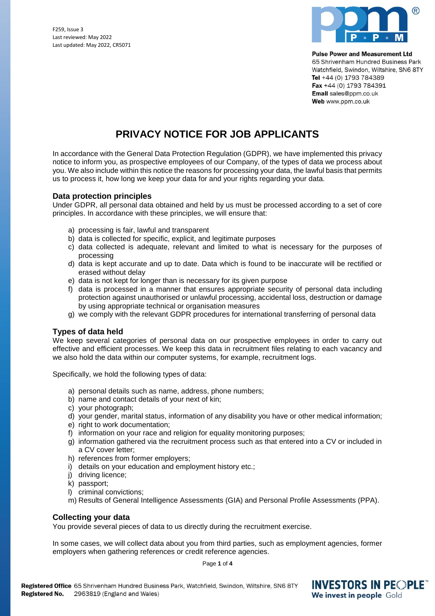F259, Issue 3 Last reviewed: May 2022 Last updated: May 2022, CR5071



**Pulse Power and Measurement Ltd** 

65 Shrivenham Hundred Business Park Watchfield, Swindon, Wiltshire, SN6 8TY Tel +44 (0) 1793 784389 Fax +44 (0) 1793 784391 Email sales@ppm.co.uk Web www.ppm.co.uk

# **PRIVACY NOTICE FOR JOB APPLICANTS**

In accordance with the General Data Protection Regulation (GDPR), we have implemented this privacy notice to inform you, as prospective employees of our Company, of the types of data we process about you. We also include within this notice the reasons for processing your data, the lawful basis that permits us to process it, how long we keep your data for and your rights regarding your data.

## **Data protection principles**

Under GDPR, all personal data obtained and held by us must be processed according to a set of core principles. In accordance with these principles, we will ensure that:

- a) processing is fair, lawful and transparent
- b) data is collected for specific, explicit, and legitimate purposes
- c) data collected is adequate, relevant and limited to what is necessary for the purposes of processing
- d) data is kept accurate and up to date. Data which is found to be inaccurate will be rectified or erased without delay
- e) data is not kept for longer than is necessary for its given purpose
- f) data is processed in a manner that ensures appropriate security of personal data including protection against unauthorised or unlawful processing, accidental loss, destruction or damage by using appropriate technical or organisation measures
- g) we comply with the relevant GDPR procedures for international transferring of personal data

## **Types of data held**

We keep several categories of personal data on our prospective employees in order to carry out effective and efficient processes. We keep this data in recruitment files relating to each vacancy and we also hold the data within our computer systems, for example, recruitment logs.

Specifically, we hold the following types of data:

- a) personal details such as name, address, phone numbers;
- b) name and contact details of your next of kin;
- c) your photograph;
- d) your gender, marital status, information of any disability you have or other medical information;
- e) right to work documentation;
- f) information on your race and religion for equality monitoring purposes;
- g) information gathered via the recruitment process such as that entered into a CV or included in a CV cover letter;
- h) references from former employers;
- i) details on your education and employment history etc.;
- j) driving licence;
- k) passport;
- l) criminal convictions;
- m) Results of General Intelligence Assessments (GIA) and Personal Profile Assessments (PPA).

## **Collecting your data**

You provide several pieces of data to us directly during the recruitment exercise.

In some cases, we will collect data about you from third parties, such as employment agencies, former employers when gathering references or credit reference agencies.

Page **1** of **4**

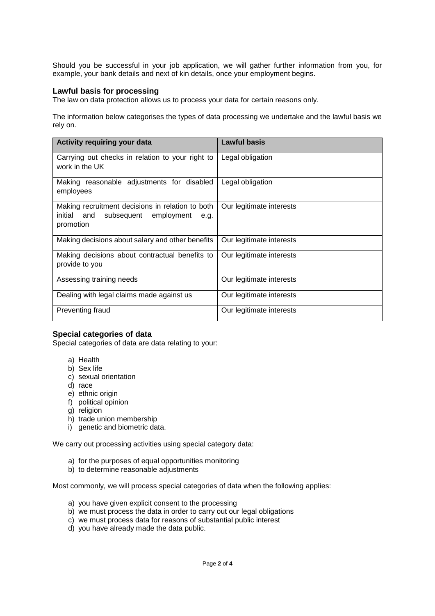Should you be successful in your job application, we will gather further information from you, for example, your bank details and next of kin details, once your employment begins.

#### **Lawful basis for processing**

The law on data protection allows us to process your data for certain reasons only.

The information below categorises the types of data processing we undertake and the lawful basis we rely on.

| Activity requiring your data                                                                                        | <b>Lawful basis</b>      |
|---------------------------------------------------------------------------------------------------------------------|--------------------------|
| Carrying out checks in relation to your right to<br>work in the UK                                                  | Legal obligation         |
| Making reasonable adjustments for disabled<br>employees                                                             | Legal obligation         |
| Making recruitment decisions in relation to both<br>initial<br>subsequent<br>employment<br>and<br>e.g.<br>promotion | Our legitimate interests |
| Making decisions about salary and other benefits                                                                    | Our legitimate interests |
| Making decisions about contractual benefits to<br>provide to you                                                    | Our legitimate interests |
| Assessing training needs                                                                                            | Our legitimate interests |
| Dealing with legal claims made against us                                                                           | Our legitimate interests |
| Preventing fraud                                                                                                    | Our legitimate interests |

## **Special categories of data**

Special categories of data are data relating to your:

- a) Health
- b) Sex life
- c) sexual orientation
- d) race
- e) ethnic origin
- f) political opinion
- g) religion
- h) trade union membership
- i) genetic and biometric data.

We carry out processing activities using special category data:

- a) for the purposes of equal opportunities monitoring
- b) to determine reasonable adjustments

Most commonly, we will process special categories of data when the following applies:

- a) you have given explicit consent to the processing
- b) we must process the data in order to carry out our legal obligations
- c) we must process data for reasons of substantial public interest
- d) you have already made the data public.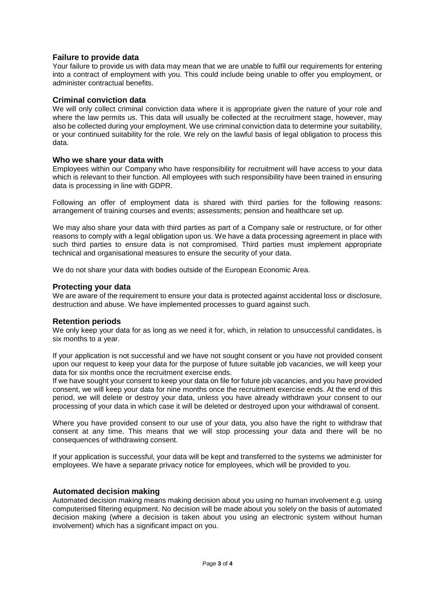## **Failure to provide data**

Your failure to provide us with data may mean that we are unable to fulfil our requirements for entering into a contract of employment with you. This could include being unable to offer you employment, or administer contractual benefits.

## **Criminal conviction data**

We will only collect criminal conviction data where it is appropriate given the nature of your role and where the law permits us. This data will usually be collected at the recruitment stage, however, may also be collected during your employment. We use criminal conviction data to determine your suitability, or your continued suitability for the role. We rely on the lawful basis of legal obligation to process this data.

#### **Who we share your data with**

Employees within our Company who have responsibility for recruitment will have access to your data which is relevant to their function. All employees with such responsibility have been trained in ensuring data is processing in line with GDPR.

Following an offer of employment data is shared with third parties for the following reasons: arrangement of training courses and events; assessments; pension and healthcare set up.

We may also share your data with third parties as part of a Company sale or restructure, or for other reasons to comply with a legal obligation upon us. We have a data processing agreement in place with such third parties to ensure data is not compromised. Third parties must implement appropriate technical and organisational measures to ensure the security of your data.

We do not share your data with bodies outside of the European Economic Area.

#### **Protecting your data**

We are aware of the requirement to ensure your data is protected against accidental loss or disclosure, destruction and abuse. We have implemented processes to guard against such.

#### **Retention periods**

We only keep your data for as long as we need it for, which, in relation to unsuccessful candidates, is six months to a year.

If your application is not successful and we have not sought consent or you have not provided consent upon our request to keep your data for the purpose of future suitable job vacancies, we will keep your data for six months once the recruitment exercise ends.

If we have sought your consent to keep your data on file for future job vacancies, and you have provided consent, we will keep your data for nine months once the recruitment exercise ends. At the end of this period, we will delete or destroy your data, unless you have already withdrawn your consent to our processing of your data in which case it will be deleted or destroyed upon your withdrawal of consent.

Where you have provided consent to our use of your data, you also have the right to withdraw that consent at any time. This means that we will stop processing your data and there will be no consequences of withdrawing consent.

If your application is successful, your data will be kept and transferred to the systems we administer for employees. We have a separate privacy notice for employees, which will be provided to you.

#### **Automated decision making**

Automated decision making means making decision about you using no human involvement e.g. using computerised filtering equipment. No decision will be made about you solely on the basis of automated decision making (where a decision is taken about you using an electronic system without human involvement) which has a significant impact on you.